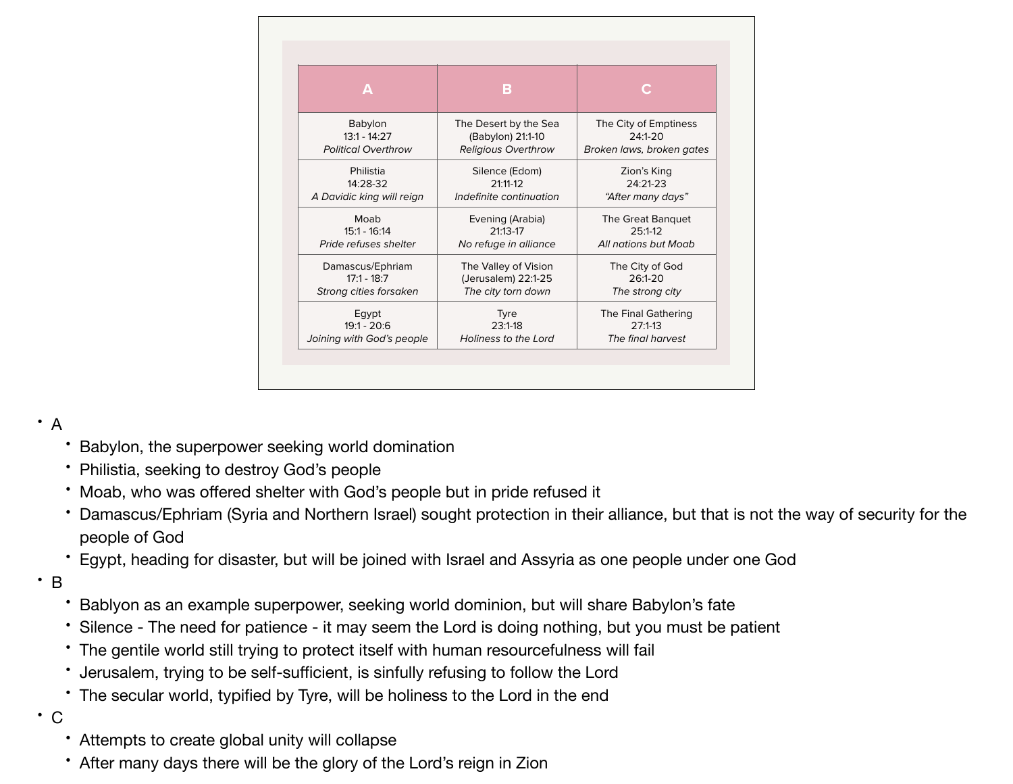| Δ                          | В                                          |                                    |
|----------------------------|--------------------------------------------|------------------------------------|
| Babylon<br>$13:1 - 14:27$  | The Desert by the Sea<br>(Babylon) 21:1-10 | The City of Emptiness<br>$24:1-20$ |
| <b>Political Overthrow</b> | <b>Religious Overthrow</b>                 | Broken laws, broken gates          |
| Philistia                  | Silence (Edom)                             | Zion's King                        |
| 14:28-32                   | $21:11-12$                                 | $24:21-23$                         |
| A Davidic king will reign  | Indefinite continuation                    | "After many days"                  |
| Moab                       | Evening (Arabia)                           | The Great Banquet                  |
| $15:1 - 16:14$             | $21:13-17$                                 | 25:1-12                            |
| Pride refuses shelter      | No refuge in alliance                      | All nations but Moab               |
| Damascus/Ephriam           | The Valley of Vision                       | The City of God                    |
| $17:1 - 18:7$              | (Jerusalem) 22:1-25                        | $26:1 - 20$                        |
| Strong cities forsaken     | The city torn down                         | The strong city                    |
| Eqypt                      | <b>Tyre</b>                                | The Final Gathering                |
| $19:1 - 20:6$              | $23:1-18$                                  | $27:1-13$                          |
| Joining with God's people  | Holiness to the Lord                       | The final harvest                  |

## • A

- Babylon, the superpower seeking world domination
- Philistia, seeking to destroy God's people
- Moab, who was offered shelter with God's people but in pride refused it
- Damascus/Ephriam (Syria and Northern Israel) sought protection in their alliance, but that is not the way of security for the people of God
- Egypt, heading for disaster, but will be joined with Israel and Assyria as one people under one God
- B
- Bablyon as an example superpower, seeking world dominion, but will share Babylon's fate
- Silence The need for patience it may seem the Lord is doing nothing, but you must be patient
- The gentile world still trying to protect itself with human resourcefulness will fail
- Jerusalem, trying to be self-sufficient, is sinfully refusing to follow the Lord
- The secular world, typified by Tyre, will be holiness to the Lord in the end
- C
	- Attempts to create global unity will collapse
	- After many days there will be the glory of the Lord's reign in Zion